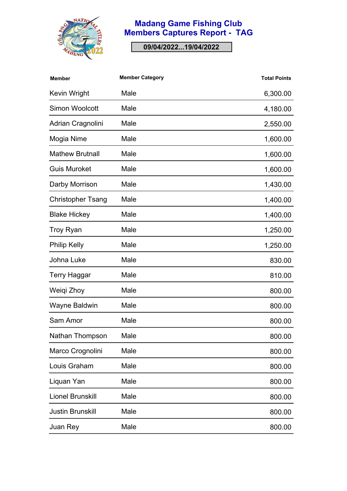

## **Madang Game Fishing Club Members Captures Report - TAG**

**09/04/2022...19/04/2022**

| <b>Member</b>            | <b>Member Category</b> | <b>Total Points</b> |
|--------------------------|------------------------|---------------------|
| <b>Kevin Wright</b>      | Male                   | 6,300.00            |
| <b>Simon Woolcott</b>    | Male                   | 4,180.00            |
| Adrian Cragnolini        | Male                   | 2,550.00            |
| Mogia Nime               | Male                   | 1,600.00            |
| <b>Mathew Brutnall</b>   | Male                   | 1,600.00            |
| <b>Guis Muroket</b>      | Male                   | 1,600.00            |
| Darby Morrison           | Male                   | 1,430.00            |
| <b>Christopher Tsang</b> | Male                   | 1,400.00            |
| <b>Blake Hickey</b>      | Male                   | 1,400.00            |
| <b>Troy Ryan</b>         | Male                   | 1,250.00            |
| <b>Philip Kelly</b>      | Male                   | 1,250.00            |
| Johna Luke               | Male                   | 830.00              |
| <b>Terry Haggar</b>      | Male                   | 810.00              |
| Weigi Zhoy               | Male                   | 800.00              |
| Wayne Baldwin            | Male                   | 800.00              |
| Sam Amor                 | Male                   | 800.00              |
| Nathan Thompson          | Male                   | 800.00              |
| Marco Crognolini         | Male                   | 800.00              |
| Louis Graham             | Male                   | 800.00              |
| Liquan Yan               | Male                   | 800.00              |
| <b>Lionel Brunskill</b>  | Male                   | 800.00              |
| <b>Justin Brunskill</b>  | Male                   | 800.00              |
| Juan Rey                 | Male                   | 800.00              |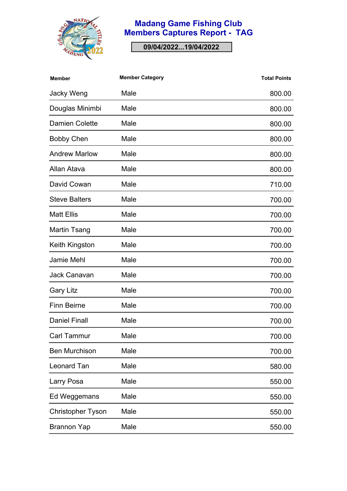

## **Madang Game Fishing Club Members Captures Report - TAG**

**09/04/2022...19/04/2022**

| <b>Member</b>            | <b>Member Category</b> | <b>Total Points</b> |
|--------------------------|------------------------|---------------------|
| <b>Jacky Weng</b>        | Male                   | 800.00              |
| Douglas Minimbi          | Male                   | 800.00              |
| <b>Damien Colette</b>    | Male                   | 800.00              |
| <b>Bobby Chen</b>        | Male                   | 800.00              |
| <b>Andrew Marlow</b>     | Male                   | 800.00              |
| Allan Atava              | Male                   | 800.00              |
| David Cowan              | Male                   | 710.00              |
| <b>Steve Balters</b>     | Male                   | 700.00              |
| <b>Matt Ellis</b>        | Male                   | 700.00              |
| Martin Tsang             | Male                   | 700.00              |
| Keith Kingston           | Male                   | 700.00              |
| <b>Jamie Mehl</b>        | Male                   | 700.00              |
| <b>Jack Canavan</b>      | Male                   | 700.00              |
| <b>Gary Litz</b>         | Male                   | 700.00              |
| <b>Finn Beirne</b>       | Male                   | 700.00              |
| <b>Daniel Finall</b>     | Male                   | 700.00              |
| <b>Carl Tammur</b>       | Male                   | 700.00              |
| <b>Ben Murchison</b>     | Male                   | 700.00              |
| <b>Leonard Tan</b>       | Male                   | 580.00              |
| Larry Posa               | Male                   | 550.00              |
| Ed Weggemans             | Male                   | 550.00              |
| <b>Christopher Tyson</b> | Male                   | 550.00              |
| <b>Brannon Yap</b>       | Male                   | 550.00              |